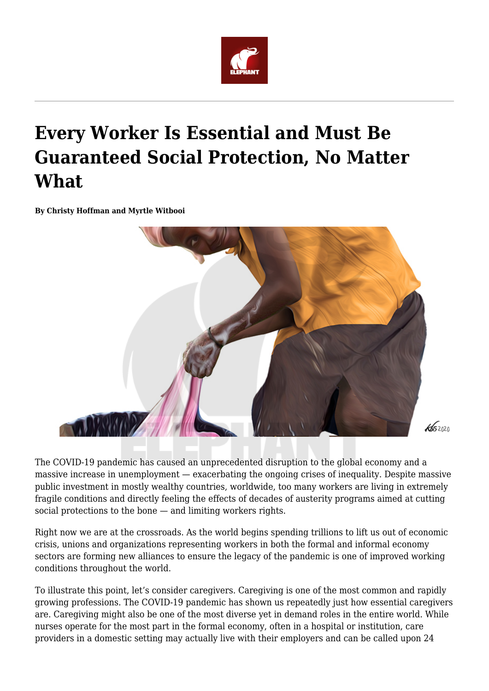

## **Every Worker Is Essential and Must Be Guaranteed Social Protection, No Matter What**

**By Christy Hoffman and Myrtle Witbooi**



The COVID-19 pandemic has caused an unprecedented disruption to the global economy and a massive increase in unemployment — exacerbating the ongoing crises of inequality. Despite massive public investment in mostly wealthy countries, worldwide, too many workers are living in extremely fragile conditions and directly feeling the effects of decades of austerity programs aimed at cutting social protections to the bone — and limiting workers rights.

Right now we are at the crossroads. As the world begins spending trillions to lift us out of economic crisis, unions and organizations representing workers in both the formal and informal economy sectors are forming new alliances to ensure the legacy of the pandemic is one of improved working conditions throughout the world.

To illustrate this point, let's consider caregivers. Caregiving is one of the most common and rapidly growing professions. The COVID-19 pandemic has shown us repeatedly just how essential caregivers are. Caregiving might also be one of the most diverse yet in demand roles in the entire world. While nurses operate for the most part in the formal economy, often in a hospital or institution, care providers in a domestic setting may actually live with their employers and can be called upon 24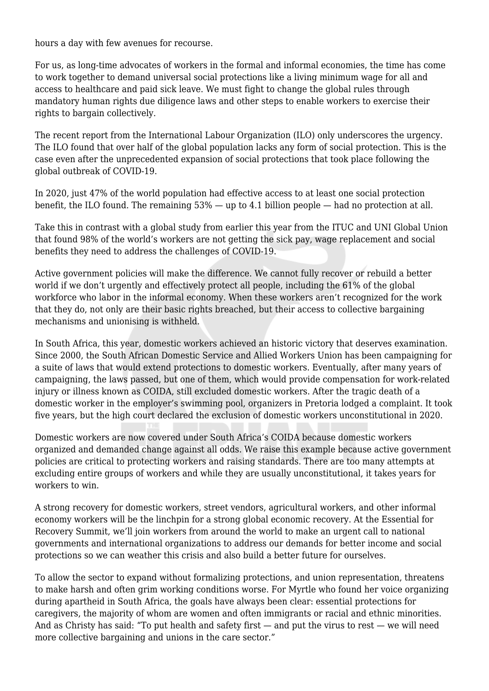hours a day with few avenues for recourse.

For us, as long-time advocates of workers in the formal and informal economies, the time has come to work together to demand universal social protections like a living minimum wage for all and access to healthcare and paid sick leave. We must fight to change the global rules through mandatory human rights due diligence laws and other steps to enable workers to exercise their rights to bargain collectively.

The recent report from the International Labour Organization (ILO) only underscores the urgency. The ILO found that over half of the global population lacks any form of social protection. This is the case even after the unprecedented expansion of social protections that took place following the global outbreak of COVID-19.

In 2020, just 47% of the world population had effective access to at least one social protection benefit, the ILO found. The remaining 53% — up to 4.1 billion people — had no protection at all.

Take this in contrast with a global study from earlier this year from the ITUC and UNI Global Union that found 98% of the world's workers are not getting the sick pay, wage replacement and social benefits they need to address the challenges of COVID-19.

Active government policies will make the difference. We cannot fully recover or rebuild a better world if we don't urgently and effectively protect all people, including the 61% of the global workforce who labor in the informal economy. When these workers aren't recognized for the work that they do, not only are their basic rights breached, but their access to collective bargaining mechanisms and unionising is withheld.

In South Africa, this year, domestic workers achieved an historic victory that deserves examination. Since 2000, the South African Domestic Service and Allied Workers Union has been campaigning for a suite of laws that would extend protections to domestic workers. Eventually, after many years of campaigning, the laws passed, but one of them, which would provide compensation for work-related injury or illness known as COIDA, still excluded domestic workers. After the tragic death of a domestic worker in the employer's swimming pool, organizers in Pretoria lodged a complaint. It took five years, but the high court declared the exclusion of domestic workers unconstitutional in 2020.

Domestic workers are now covered under South Africa's COIDA because domestic workers organized and demanded change against all odds. We raise this example because active government policies are critical to protecting workers and raising standards. There are too many attempts at excluding entire groups of workers and while they are usually unconstitutional, it takes years for workers to win.

A strong recovery for domestic workers, street vendors, agricultural workers, and other informal economy workers will be the linchpin for a strong global economic recovery. At the Essential for Recovery Summit, we'll join workers from around the world to make an urgent call to national governments and international organizations to address our demands for better income and social protections so we can weather this crisis and also build a better future for ourselves.

To allow the sector to expand without formalizing protections, and union representation, threatens to make harsh and often grim working conditions worse. For Myrtle who found her voice organizing during apartheid in South Africa, the goals have always been clear: essential protections for caregivers, the majority of whom are women and often immigrants or racial and ethnic minorities. And as Christy has said: "To put health and safety first — and put the virus to rest — we will need more collective bargaining and unions in the care sector."